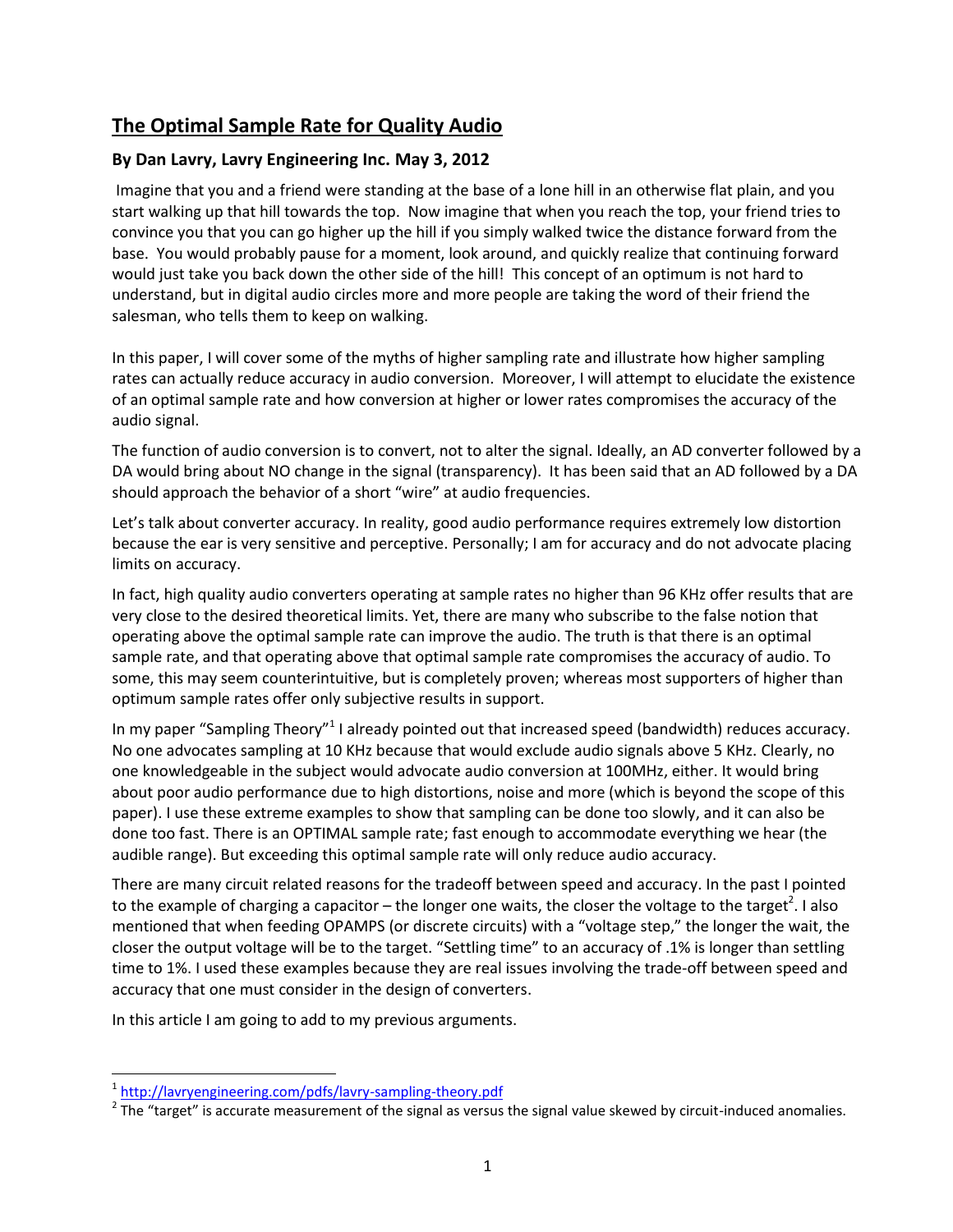## **The Optimal Sample Rate for Quality Audio**

## **By Dan Lavry, Lavry Engineering Inc. May 3, 2012**

Imagine that you and a friend were standing at the base of a lone hill in an otherwise flat plain, and you start walking up that hill towards the top. Now imagine that when you reach the top, your friend tries to convince you that you can go higher up the hill if you simply walked twice the distance forward from the base. You would probably pause for a moment, look around, and quickly realize that continuing forward would just take you back down the other side of the hill! This concept of an optimum is not hard to understand, but in digital audio circles more and more people are taking the word of their friend the salesman, who tells them to keep on walking.

In this paper, I will cover some of the myths of higher sampling rate and illustrate how higher sampling rates can actually reduce accuracy in audio conversion. Moreover, I will attempt to elucidate the existence of an optimal sample rate and how conversion at higher or lower rates compromises the accuracy of the audio signal.

The function of audio conversion is to convert, not to alter the signal. Ideally, an AD converter followed by a DA would bring about NO change in the signal (transparency). It has been said that an AD followed by a DA should approach the behavior of a short "wire" at audio frequencies.

Let's talk about converter accuracy. In reality, good audio performance requires extremely low distortion because the ear is very sensitive and perceptive. Personally; I am for accuracy and do not advocate placing limits on accuracy.

In fact, high quality audio converters operating at sample rates no higher than 96 KHz offer results that are very close to the desired theoretical limits. Yet, there are many who subscribe to the false notion that operating above the optimal sample rate can improve the audio. The truth is that there is an optimal sample rate, and that operating above that optimal sample rate compromises the accuracy of audio. To some, this may seem counterintuitive, but is completely proven; whereas most supporters of higher than optimum sample rates offer only subjective results in support.

In my paper "Sampling Theory"<sup>1</sup> I already pointed out that increased speed (bandwidth) reduces accuracy. No one advocates sampling at 10 KHz because that would exclude audio signals above 5 KHz. Clearly, no one knowledgeable in the subject would advocate audio conversion at 100MHz, either. It would bring about poor audio performance due to high distortions, noise and more (which is beyond the scope of this paper). I use these extreme examples to show that sampling can be done too slowly, and it can also be done too fast. There is an OPTIMAL sample rate; fast enough to accommodate everything we hear (the audible range). But exceeding this optimal sample rate will only reduce audio accuracy.

There are many circuit related reasons for the tradeoff between speed and accuracy. In the past I pointed to the example of charging a capacitor – the longer one waits, the closer the voltage to the target<sup>2</sup>. I also mentioned that when feeding OPAMPS (or discrete circuits) with a "voltage step," the longer the wait, the closer the output voltage will be to the target. "Settling time" to an accuracy of .1% is longer than settling time to 1%. I used these examples because they are real issues involving the trade-off between speed and accuracy that one must consider in the design of converters.

In this article I am going to add to my previous arguments.

l

<sup>&</sup>lt;sup>1</sup><http://lavryengineering.com/pdfs/lavry-sampling-theory.pdf>

 $^2$  The "target" is accurate measurement of the signal as versus the signal value skewed by circuit-induced anomalies.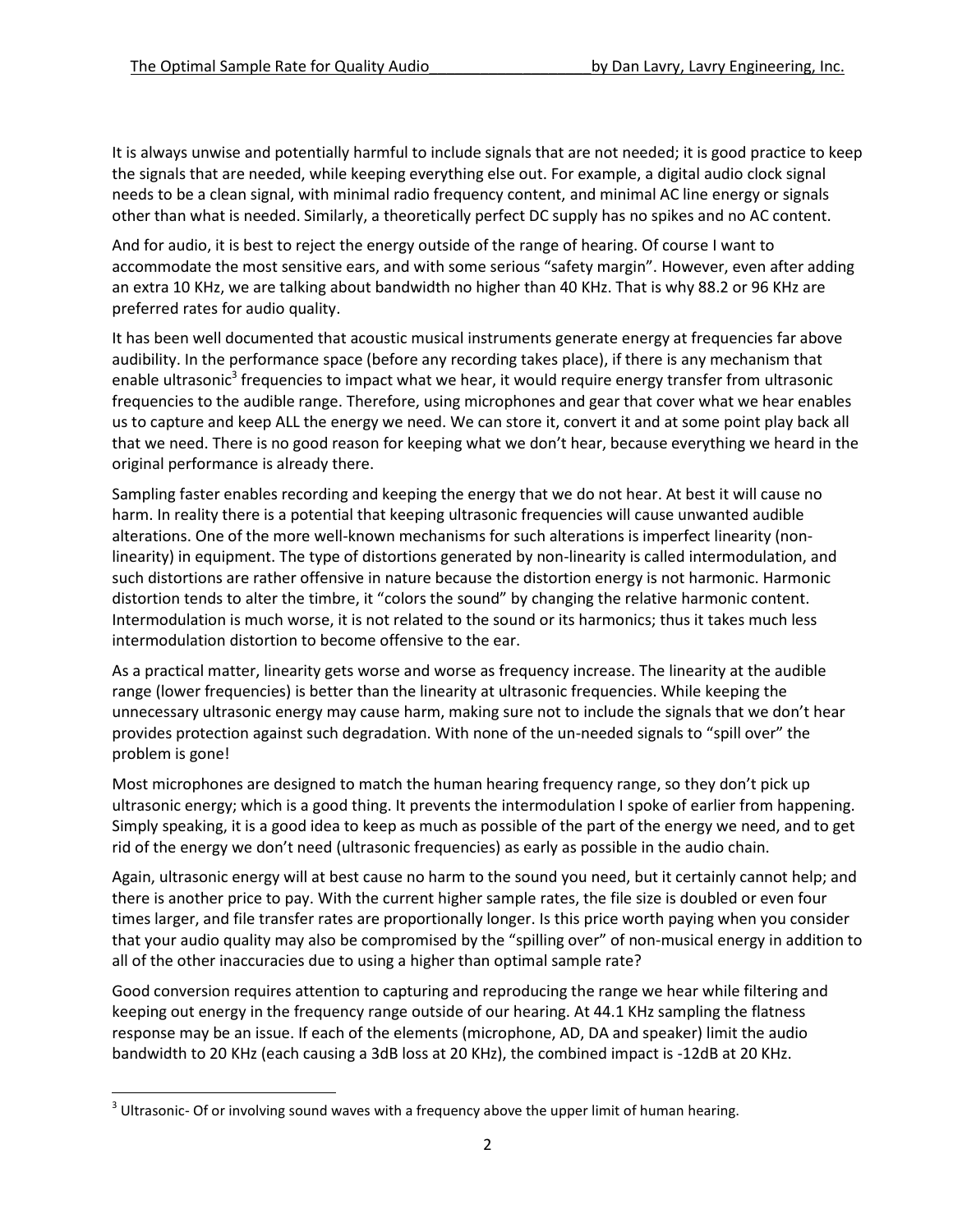It is always unwise and potentially harmful to include signals that are not needed; it is good practice to keep the signals that are needed, while keeping everything else out. For example, a digital audio clock signal needs to be a clean signal, with minimal radio frequency content, and minimal AC line energy or signals other than what is needed. Similarly, a theoretically perfect DC supply has no spikes and no AC content.

And for audio, it is best to reject the energy outside of the range of hearing. Of course I want to accommodate the most sensitive ears, and with some serious "safety margin". However, even after adding an extra 10 KHz, we are talking about bandwidth no higher than 40 KHz. That is why 88.2 or 96 KHz are preferred rates for audio quality.

It has been well documented that acoustic musical instruments generate energy at frequencies far above audibility. In the performance space (before any recording takes place), if there is any mechanism that enable ultrasonic<sup>3</sup> frequencies to impact what we hear, it would require energy transfer from ultrasonic frequencies to the audible range. Therefore, using microphones and gear that cover what we hear enables us to capture and keep ALL the energy we need. We can store it, convert it and at some point play back all that we need. There is no good reason for keeping what we don't hear, because everything we heard in the original performance is already there.

Sampling faster enables recording and keeping the energy that we do not hear. At best it will cause no harm. In reality there is a potential that keeping ultrasonic frequencies will cause unwanted audible alterations. One of the more well-known mechanisms for such alterations is imperfect linearity (nonlinearity) in equipment. The type of distortions generated by non-linearity is called intermodulation, and such distortions are rather offensive in nature because the distortion energy is not harmonic. Harmonic distortion tends to alter the timbre, it "colors the sound" by changing the relative harmonic content. Intermodulation is much worse, it is not related to the sound or its harmonics; thus it takes much less intermodulation distortion to become offensive to the ear.

As a practical matter, linearity gets worse and worse as frequency increase. The linearity at the audible range (lower frequencies) is better than the linearity at ultrasonic frequencies. While keeping the unnecessary ultrasonic energy may cause harm, making sure not to include the signals that we don't hear provides protection against such degradation. With none of the un-needed signals to "spill over" the problem is gone!

Most microphones are designed to match the human hearing frequency range, so they don't pick up ultrasonic energy; which is a good thing. It prevents the intermodulation I spoke of earlier from happening. Simply speaking, it is a good idea to keep as much as possible of the part of the energy we need, and to get rid of the energy we don't need (ultrasonic frequencies) as early as possible in the audio chain.

Again, ultrasonic energy will at best cause no harm to the sound you need, but it certainly cannot help; and there is another price to pay. With the current higher sample rates, the file size is doubled or even four times larger, and file transfer rates are proportionally longer. Is this price worth paying when you consider that your audio quality may also be compromised by the "spilling over" of non-musical energy in addition to all of the other inaccuracies due to using a higher than optimal sample rate?

Good conversion requires attention to capturing and reproducing the range we hear while filtering and keeping out energy in the frequency range outside of our hearing. At 44.1 KHz sampling the flatness response may be an issue. If each of the elements (microphone, AD, DA and speaker) limit the audio bandwidth to 20 KHz (each causing a 3dB loss at 20 KHz), the combined impact is -12dB at 20 KHz.

 $\overline{\phantom{a}}$ 

 $3$  Ultrasonic- Of or involving sound waves with a frequency above the upper limit of human hearing.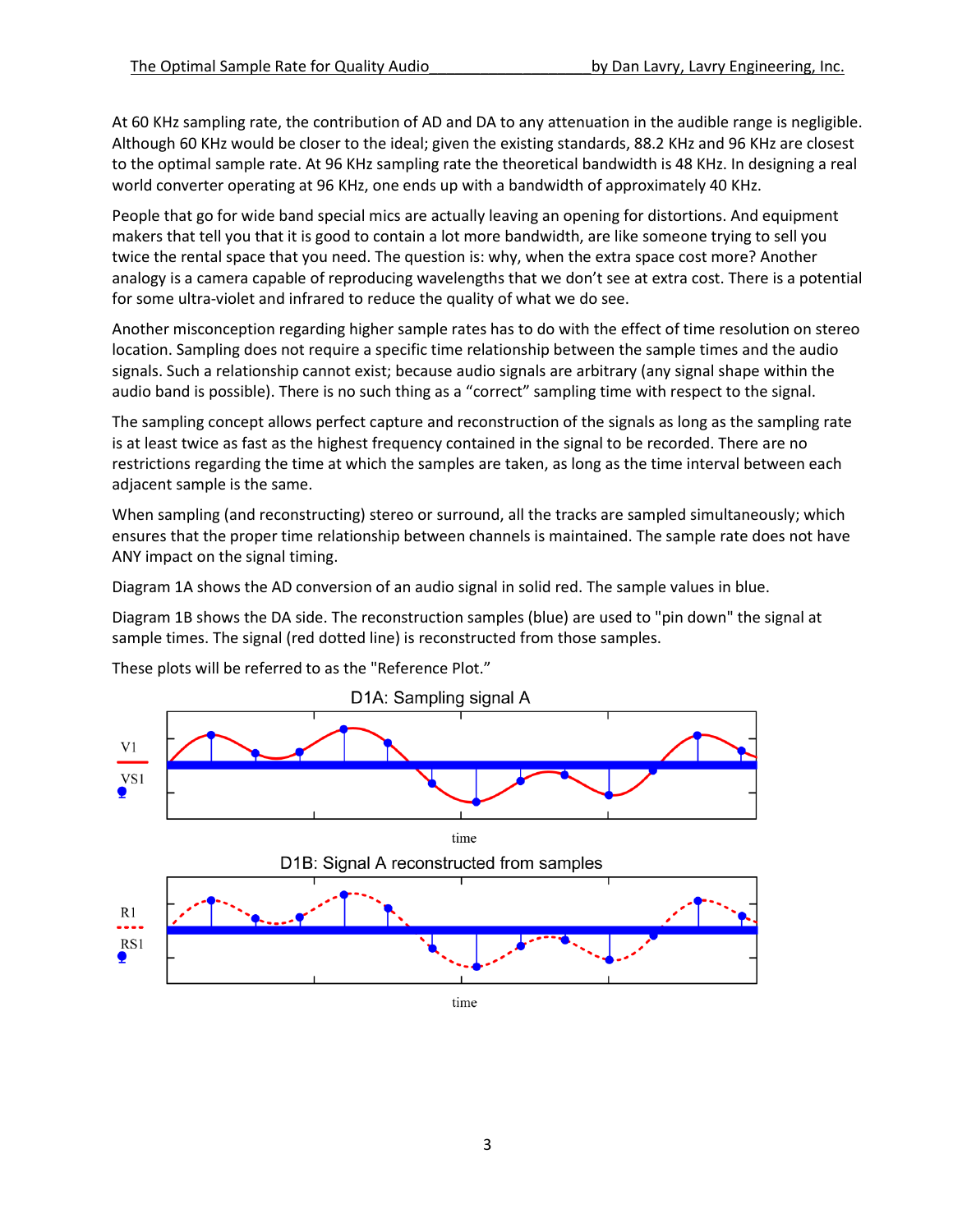At 60 KHz sampling rate, the contribution of AD and DA to any attenuation in the audible range is negligible. Although 60 KHz would be closer to the ideal; given the existing standards, 88.2 KHz and 96 KHz are closest to the optimal sample rate. At 96 KHz sampling rate the theoretical bandwidth is 48 KHz. In designing a real world converter operating at 96 KHz, one ends up with a bandwidth of approximately 40 KHz.

People that go for wide band special mics are actually leaving an opening for distortions. And equipment makers that tell you that it is good to contain a lot more bandwidth, are like someone trying to sell you twice the rental space that you need. The question is: why, when the extra space cost more? Another analogy is a camera capable of reproducing wavelengths that we don't see at extra cost. There is a potential for some ultra-violet and infrared to reduce the quality of what we do see.

Another misconception regarding higher sample rates has to do with the effect of time resolution on stereo location. Sampling does not require a specific time relationship between the sample times and the audio signals. Such a relationship cannot exist; because audio signals are arbitrary (any signal shape within the audio band is possible). There is no such thing as a "correct" sampling time with respect to the signal.

The sampling concept allows perfect capture and reconstruction of the signals as long as the sampling rate is at least twice as fast as the highest frequency contained in the signal to be recorded. There are no restrictions regarding the time at which the samples are taken, as long as the time interval between each adjacent sample is the same.

When sampling (and reconstructing) stereo or surround, all the tracks are sampled simultaneously; which ensures that the proper time relationship between channels is maintained. The sample rate does not have ANY impact on the signal timing.

Diagram 1A shows the AD conversion of an audio signal in solid red. The sample values in blue.

Diagram 1B shows the DA side. The reconstruction samples (blue) are used to "pin down" the signal at sample times. The signal (red dotted line) is reconstructed from those samples.



These plots will be referred to as the "Reference Plot."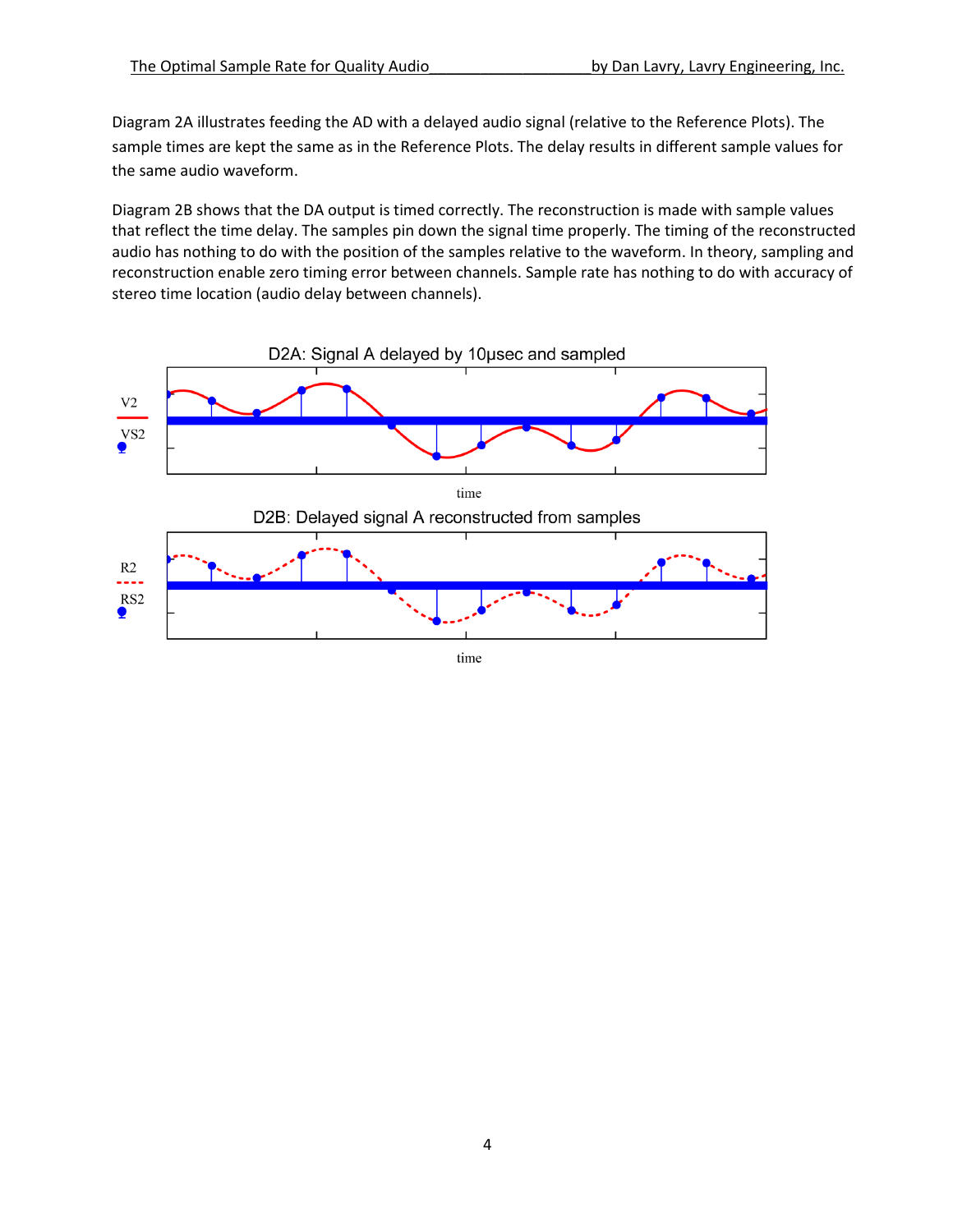Diagram 2A illustrates feeding the AD with a delayed audio signal (relative to the Reference Plots). The sample times are kept the same as in the Reference Plots. The delay results in different sample values for the same audio waveform.

Diagram 2B shows that the DA output is timed correctly. The reconstruction is made with sample values that reflect the time delay. The samples pin down the signal time properly. The timing of the reconstructed audio has nothing to do with the position of the samples relative to the waveform. In theory, sampling and reconstruction enable zero timing error between channels. Sample rate has nothing to do with accuracy of stereo time location (audio delay between channels).

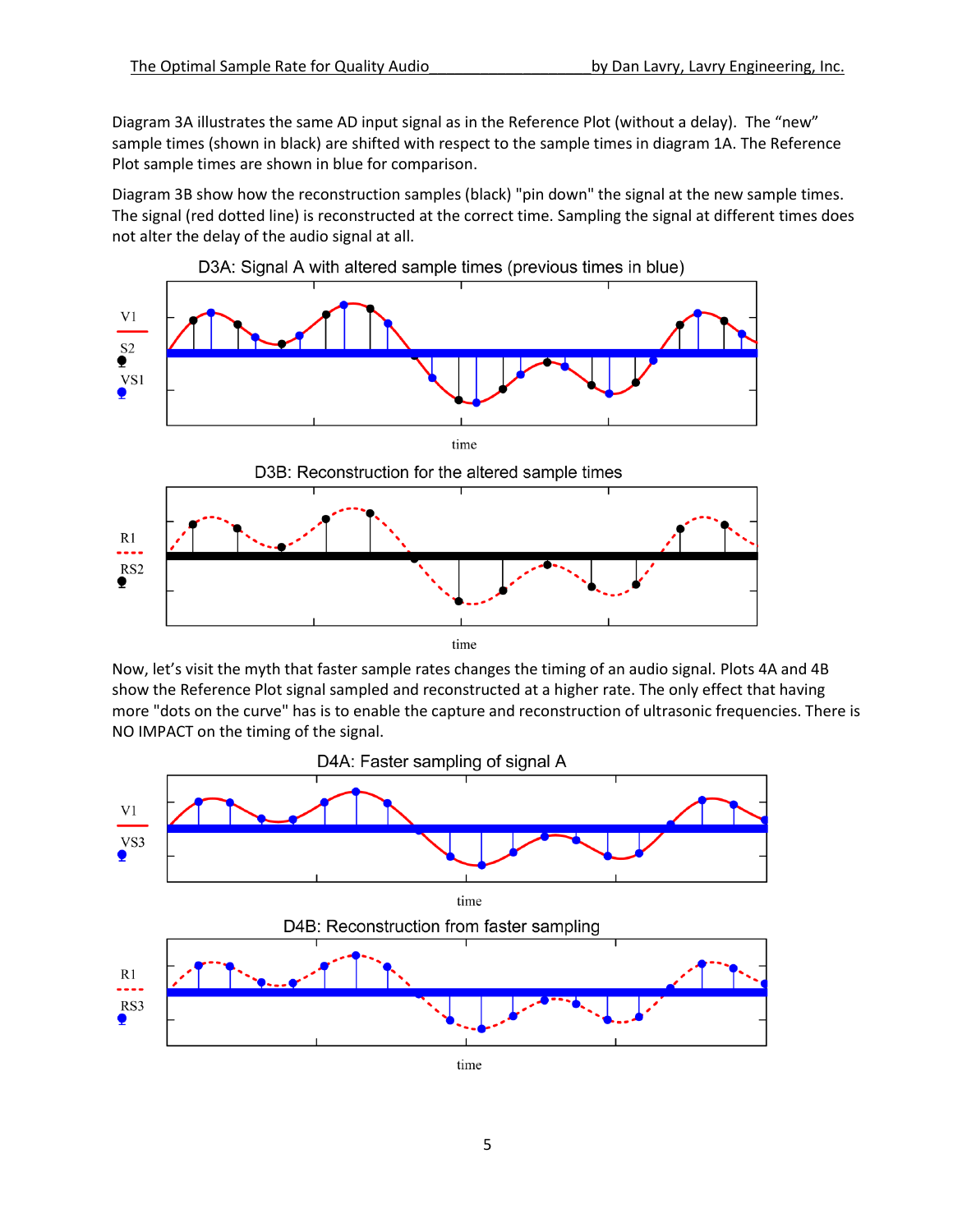Diagram 3A illustrates the same AD input signal as in the Reference Plot (without a delay). The "new" sample times (shown in black) are shifted with respect to the sample times in diagram 1A. The Reference Plot sample times are shown in blue for comparison.

Diagram 3B show how the reconstruction samples (black) "pin down" the signal at the new sample times. The signal (red dotted line) is reconstructed at the correct time. Sampling the signal at different times does not alter the delay of the audio signal at all.



Now, let's visit the myth that faster sample rates changes the timing of an audio signal. Plots 4A and 4B show the Reference Plot signal sampled and reconstructed at a higher rate. The only effect that having more "dots on the curve" has is to enable the capture and reconstruction of ultrasonic frequencies. There is NO IMPACT on the timing of the signal.